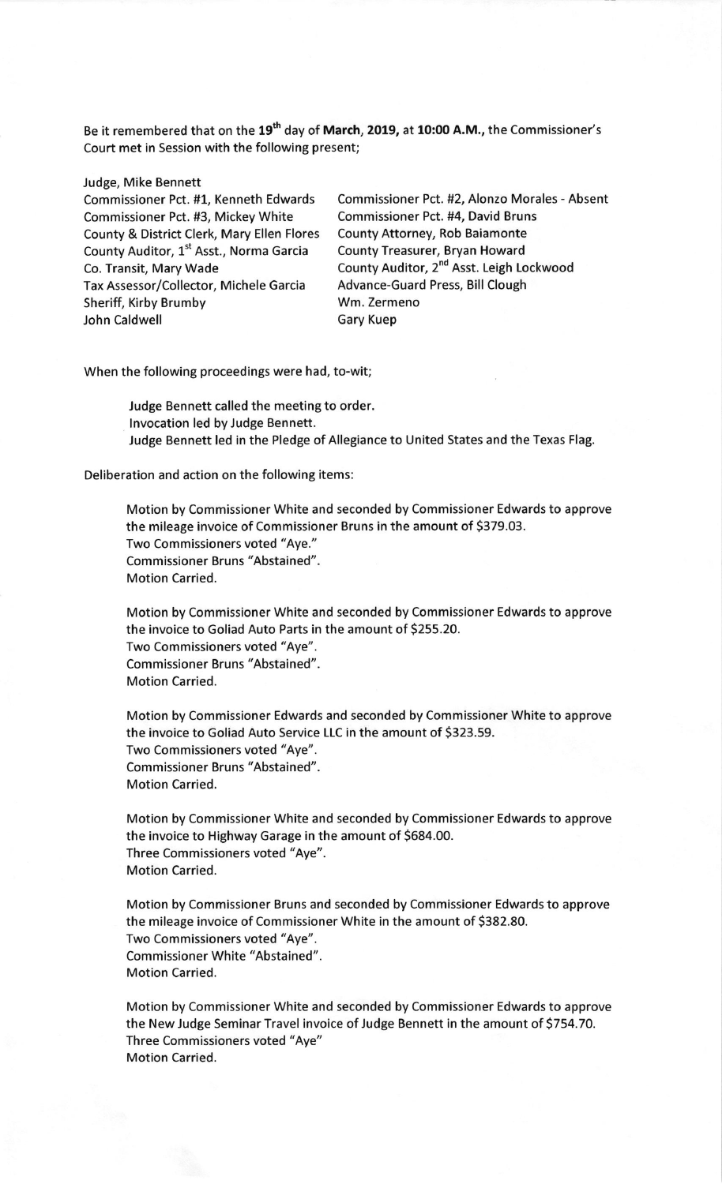Be it remembered that on the 19<sup>th</sup> day of March, 2019, at 10:00 A.M., the Commissioner's Court met in Session with the following present;

Judge, Mike Bennett

Commissioner Pct. #3, Mickey White Commissioner Pct. #4, David Bruns<br>County & District Clerk, Mary Ellen Flores County Attorney, Rob Baiamonte County & District Clerk, Mary Ellen Flores County Auditor, 1<sup>st</sup> Asst., Norma Garcia County Treasurer, Bryan Howard<br>Co. Transit, Mary Wade County Auditor, 2<sup>nd</sup> Asst. Leigh Lo Tax Assessor/Collector, Michele Garcia Advance-Guard Press, Advance-Guard Press, Advance-Guard Press, Bill Clought Sheriff, Kirby Brumby John Caldwell **Gary Kuep** 

Commissioner Pct. #1, Kenneth Edwards Commissioner Pct. #2, Alonzo Morales - Absent County Auditor, 2<sup>nd</sup> Asst. Leigh Lockwood<br>Advance-Guard Press, Bill Clough

When the following proceedings were had, to-wit

Judge Bennett called the meeting to order. lnvocation led by Judge Bennett. Judge Bennett led in the Pledge of Allegiance to United States and the Texas Flag.

Deliberation and action on the following items:

Motion by Commissioner White and seconded by Commissioner Edwards to approve the mileage invoice of Commissioner Bruns in the amount of 5379.03. Two Commissioners voted "Aye." Commissioner Bruns "Abstained". Motion Carried.

Motion by Commissioner White and seconded by Commissioner Edwards to approve the invoice to Goliad Auto Parts in the amount of 5255.20. Two Commissioners voted "Aye". Commissioner Bruns "Abstained". Motion Carried.

Motion by Commissioner Edwards and seconded by Commissioner White to approve the invoice to Goliad Auto Service LLC in the amount of 5323.59. Two Commissioners voted "Aye". Commissioner Bruns "Abstained". Motion Carried.

Motion by Commissioner White and seconded by Commissioner Edwards to approve the invoice to Highway Garage in the amount of 5684.00. Three Commissioners voted "Aye". Motion Carried.

Motion by Commissioner Bruns and seconded by Commissioner Edwards to approve the mileage invoice of Commissioner White in the amount of 5382.80. Two Commissioners voted "Aye". Commissioner White "Abstained". Motion Carried.

Motion by Commissioner White and seconded by Commissioner Edwards to approve the New ludge Seminar Travel invoice of Judge Bennett in the amount of 5754.70. Three Commissioners voted "Aye" Motion Carried.